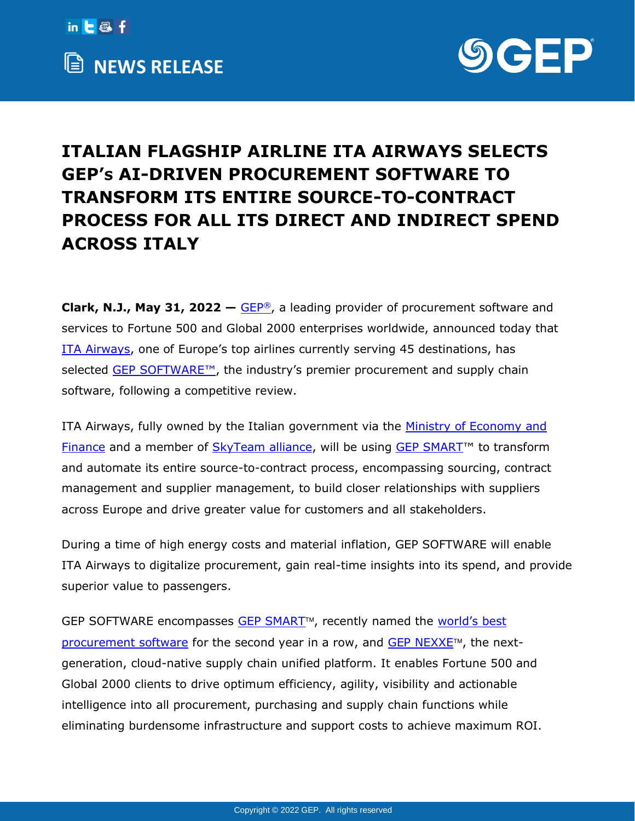



## **ITALIAN FLAGSHIP AIRLINE ITA AIRWAYS SELECTS GEP'S AI-DRIVEN PROCUREMENT SOFTWARE TO TRANSFORM ITS ENTIRE SOURCE-TO-CONTRACT PROCESS FOR ALL ITS DIRECT AND INDIRECT SPEND ACROSS ITALY**

**Clark, N.J., May 31, 2022 – [GEP](http://www.gep.com/)<sup>®</sup>, a leading provider of procurement software and** services to Fortune 500 and Global 2000 enterprises worldwide, announced today that [ITA Airways](https://www.ita-airways.com/en_it/fly-ita/ita-world/about-us.html), one of Europe's top airlines currently serving 45 destinations, has selected [GEP SOFTWARE™,](https://www.gep.com/software) the industry's premier procurement and supply chain software, following a competitive review.

ITA Airways, fully owned by the Italian government via the [Ministry of Economy and](https://en.wikipedia.org/wiki/Ministry_of_Economy_and_Finance_(Italy))  [Finance](https://en.wikipedia.org/wiki/Ministry_of_Economy_and_Finance_(Italy)) and a member of [SkyTeam alliance,](https://www.skyteam.com/en) will be using [GEP SMART](https://www.gep.com/software/gep-smart)<sup>™</sup> to transform and automate its entire source-to-contract process, encompassing sourcing, contract management and supplier management, to build closer relationships with suppliers across Europe and drive greater value for customers and all stakeholders.

During a time of high energy costs and material inflation, GEP SOFTWARE will enable ITA Airways to digitalize procurement, gain real-time insights into its spend, and provide superior value to passengers.

GEP SOFTWARE encompasses [GEP SMART](https://www.gep.com/software/gep-smart/procurement-software)<sup>™</sup>, recently named the world's best [procurement software](https://www.gep.com/newsroom/gep-smart-wins-best-procurement-software-award-at-world-procurement-awards-for-second-year-in-a-row-cementing-industry-leadership) for the second year in a row, and GEP  $NEXXE^{\pi}$ , the nextgeneration, cloud-native supply chain unified platform. It enables Fortune 500 and Global 2000 clients to drive optimum efficiency, agility, visibility and actionable intelligence into all procurement, purchasing and supply chain functions while eliminating burdensome infrastructure and support costs to achieve maximum ROI.